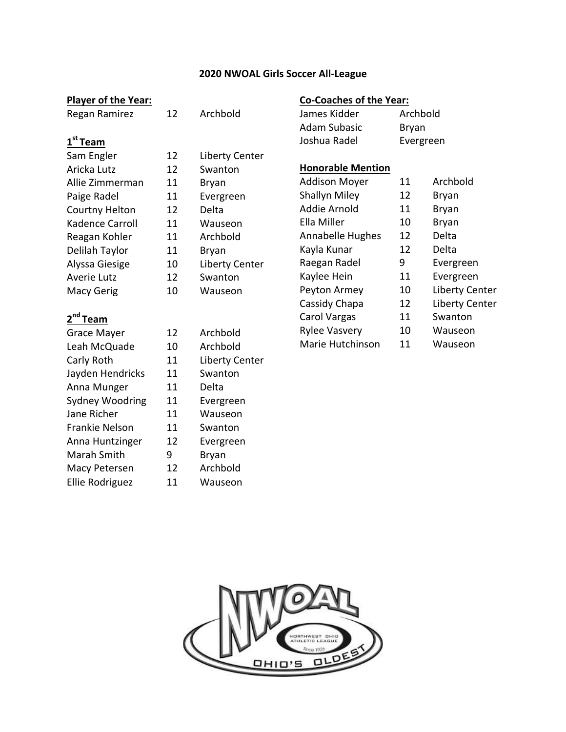#### **2020 NWOAL Girls Soccer All-League**

#### **Player of the Year:**

Regan Ramirez 12 Archbold

# **1st Team**

| Sam Engler         | 12 | <b>Liberty Center</b> |
|--------------------|----|-----------------------|
| Aricka Lutz        | 12 | Swanton               |
| Allie Zimmerman    | 11 | Bryan                 |
| Paige Radel        | 11 | Evergreen             |
| Courtny Helton     | 12 | Delta                 |
| Kadence Carroll    | 11 | Wauseon               |
| Reagan Kohler      | 11 | Archbold              |
| Delilah Taylor     | 11 | Bryan                 |
| Alyssa Giesige     | 10 | <b>Liberty Center</b> |
| <b>Averie Lutz</b> | 12 | Swanton               |
| Macy Gerig         | 10 | Wauseon               |
|                    |    |                       |

# **2nd Team**

| <b>Grace Mayer</b>    | 12 | Archbold   |
|-----------------------|----|------------|
| Leah McQuade          | 10 | Archbold   |
| Carly Roth            | 11 | Liberty Co |
| Jayden Hendricks      | 11 | Swanton    |
| Anna Munger           | 11 | Delta      |
| Sydney Woodring       | 11 | Evergree   |
| Jane Richer           | 11 | Wauseor    |
| <b>Frankie Nelson</b> | 11 | Swanton    |
| Anna Huntzinger       | 12 | Evergree   |
| Marah Smith           | 9  | Bryan      |
| Macy Petersen         | 12 | Archbold   |
| Ellie Rodriguez       | 11 | Wauseor    |
|                       |    |            |

| 12 | Liberty Center |
|----|----------------|
| 12 | Swanton        |
| 11 | Bryan          |
| 11 | Evergreen      |
| 12 | Delta          |
| 11 | Wauseon        |
| 11 | Archbold       |
| 11 | Bryan          |
| 10 | Liberty Center |
| 12 | Swanton        |
| 10 | Wauseon        |
|    |                |
|    |                |
| 12 | Archbold       |
| 10 | Archbold       |

11 Liberty Center 11 Swanton 11 Delta 11 Evergreen 11 Wauseon 11 Swanton 12 Evergreen 9 Bryan 12 Archbold 11 Wauseon

| <b>Co-Coaches of the Year:</b> |           |  |
|--------------------------------|-----------|--|
| James Kidder                   | Archbold  |  |
| Adam Subasic                   | Bryan     |  |
| Joshua Radel                   | Evergreen |  |

#### **Honorable Mention**

| <b>Addison Moyer</b> | 11 | Archbold              |
|----------------------|----|-----------------------|
| <b>Shallyn Miley</b> | 12 | Bryan                 |
| Addie Arnold         | 11 | Bryan                 |
| Ella Miller          | 10 | Bryan                 |
| Annabelle Hughes     | 12 | Delta                 |
| Kayla Kunar          | 12 | Delta                 |
| Raegan Radel         | 9  | Evergreen             |
| Kaylee Hein          | 11 | Evergreen             |
| Peyton Armey         | 10 | <b>Liberty Center</b> |
| Cassidy Chapa        | 12 | <b>Liberty Center</b> |
| Carol Vargas         | 11 | Swanton               |
| <b>Rylee Vasvery</b> | 10 | Wauseon               |
| Marie Hutchinson     | 11 | Wauseon               |
|                      |    |                       |